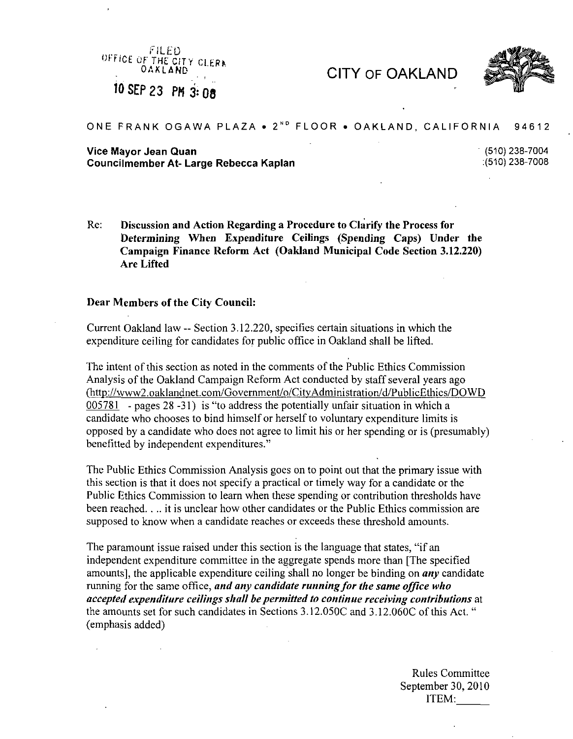FILED OFFICE OF THE CITY CLERA ^0 SEP 23 PM3:08

CITY OF OAKLAND



## ONE FRANK OGAWA PLAZA • 2"° FLOOR • OAKLAND, CALIFORNIA 94612

## Vice Mayor Jean Quan (510)<br>Councilmember At- Large Rebecca Kaplan (510)238-7004<br>Councilmember At- Large Rebecca Kaplan Councilmember At- Large Rebecca Kaplan :{510) 238-7008

Re: Discussion and Action Regarding a Procedure to Clarify the Process for Determining When Expenditure Ceilings (Spending Caps) Under the Campaign Finance Reform Act (Oakland Municipal Code Section 3.12.220) Are Lifted

## Dear Members of the City Council:

Current Oakland law — Section 3.12.220, specifies certain situations in which the expenditure ceiling for candidates for public office in Oakland shall be lifted.

The intent of this section as noted in the comments of the Public Ethics Commission Analysis of the Oakland Campaign Reform Act conducted by staff several years ago (<http://www2.oaklandnet.eom/Govemment/o/CitvAdministration/d/PublicEthics/DOWD> 005781 - pages 28 -31) is "to address the potentially unfair situation in which a candidate who chooses to bind himself or herself to voluntary expenditure limits is opposed by a candidate who does not agree to limit his or her spending or is (presumably) benefitted by independent expenditures."

The Public Ethics Commission Analysis goes on to point out that the primary issue with this section is that it does not specify a practical or timely way for a candidate or the Public Ethics Commission to learn when these spending or contribution thresholds have been reached. . .. it is unclear how other candidates or the Public Ethics commission are supposed to know when a candidate reaches or exceeds these threshold amounts.

The paramount issue raised under this section is the language that states, "if an independent expenditure committee in the aggregate spends more than [The specified amounts], the applicable expenditure ceiling shall no longer be binding on  $any$  candidate running for the same office, and any candidate running for the same office who accepted expenditure ceilings shall be permitted to continue receiving contributions at the amounts set for such candidates in Sections 3.12.050C and 3.12.060C of this Act. " (emphasis added)

> Rules Committee September 30, 2010 ITEM: